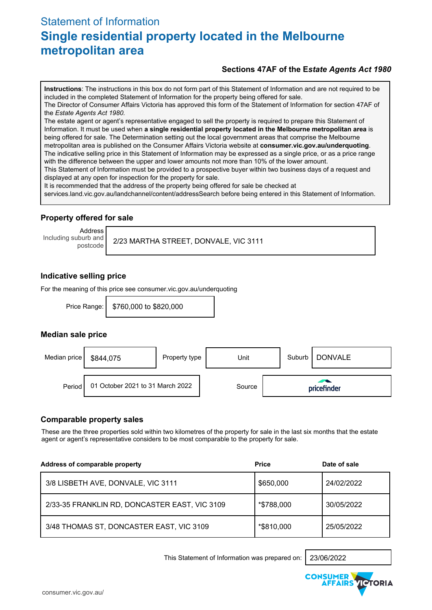# Statement of Information **Single residential property located in the Melbourne metropolitan area**

#### **Sections 47AF of the E***state Agents Act 1980*

**Instructions**: The instructions in this box do not form part of this Statement of Information and are not required to be included in the completed Statement of Information for the property being offered for sale.

The Director of Consumer Affairs Victoria has approved this form of the Statement of Information for section 47AF of the *Estate Agents Act 1980.*

The estate agent or agent's representative engaged to sell the property is required to prepare this Statement of Information. It must be used when **a single residential property located in the Melbourne metropolitan area** is being offered for sale. The Determination setting out the local government areas that comprise the Melbourne metropolitan area is published on the Consumer Affairs Victoria website at **consumer.vic.gov.au/underquoting**. The indicative selling price in this Statement of Information may be expressed as a single price, or as a price range with the difference between the upper and lower amounts not more than 10% of the lower amount.

This Statement of Information must be provided to a prospective buyer within two business days of a request and displayed at any open for inspection for the property for sale.

It is recommended that the address of the property being offered for sale be checked at

services.land.vic.gov.au/landchannel/content/addressSearch before being entered in this Statement of Information.

#### **Property offered for sale**

Address Including suburb and

postcode 2/23 MARTHA STREET, DONVALE, VIC 3111

#### **Indicative selling price**

For the meaning of this price see consumer.vic.gov.au/underquoting

Price Range: | \$760,000 to \$820,000

#### **Median sale price**



#### **Comparable property sales**

These are the three properties sold within two kilometres of the property for sale in the last six months that the estate agent or agent's representative considers to be most comparable to the property for sale.

| Address of comparable property                | <b>Price</b> | Date of sale |
|-----------------------------------------------|--------------|--------------|
| 3/8 LISBETH AVE, DONVALE, VIC 3111            | \$650,000    | 24/02/2022   |
| 2/33-35 FRANKLIN RD, DONCASTER EAST, VIC 3109 | *\$788,000   | 30/05/2022   |
| 3/48 THOMAS ST, DONCASTER EAST, VIC 3109      | *\$810,000   | 25/05/2022   |

This Statement of Information was prepared on: 23/06/2022